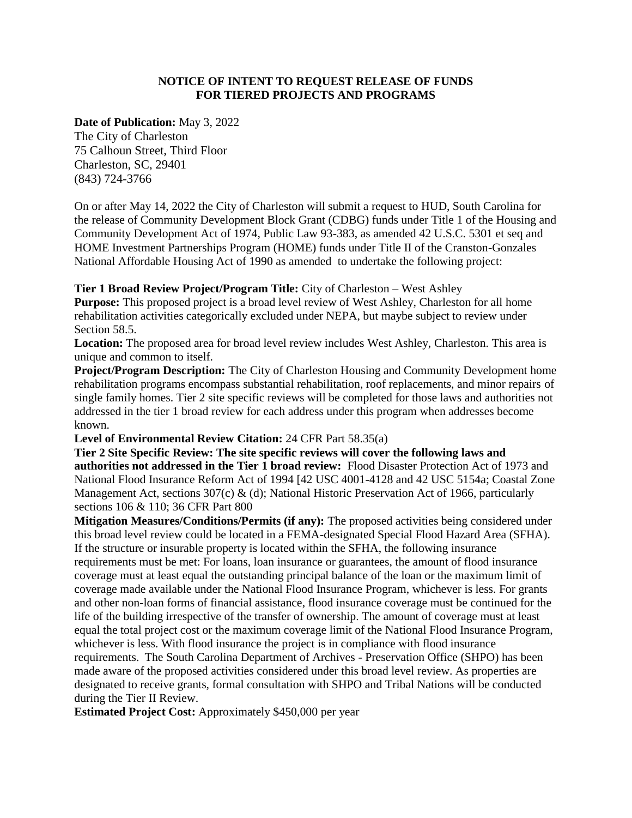## **NOTICE OF INTENT TO REQUEST RELEASE OF FUNDS FOR TIERED PROJECTS AND PROGRAMS**

**Date of Publication:** May 3, 2022

The City of Charleston 75 Calhoun Street, Third Floor Charleston, SC, 29401 (843) 724-3766

On or after May 14, 2022 the City of Charleston will submit a request to HUD, South Carolina for the release of Community Development Block Grant (CDBG) funds under Title 1 of the Housing and Community Development Act of 1974, Public Law 93-383, as amended 42 U.S.C. 5301 et seq and HOME Investment Partnerships Program (HOME) funds under Title II of the Cranston-Gonzales National Affordable Housing Act of 1990 as amended to undertake the following project:

**Tier 1 Broad Review Project/Program Title:** City of Charleston – West Ashley

**Purpose:** This proposed project is a broad level review of West Ashley, Charleston for all home rehabilitation activities categorically excluded under NEPA, but maybe subject to review under Section 58.5.

**Location:** The proposed area for broad level review includes West Ashley, Charleston. This area is unique and common to itself.

**Project/Program Description:** The City of Charleston Housing and Community Development home rehabilitation programs encompass substantial rehabilitation, roof replacements, and minor repairs of single family homes. Tier 2 site specific reviews will be completed for those laws and authorities not addressed in the tier 1 broad review for each address under this program when addresses become known.

**Level of Environmental Review Citation:** 24 CFR Part 58.35(a)

**Tier 2 Site Specific Review: The site specific reviews will cover the following laws and authorities not addressed in the Tier 1 broad review:** Flood Disaster Protection Act of 1973 and National Flood Insurance Reform Act of 1994 [42 USC 4001-4128 and 42 USC 5154a; Coastal Zone Management Act, sections 307(c) & (d); National Historic Preservation Act of 1966, particularly sections 106 & 110; 36 CFR Part 800

**Mitigation Measures/Conditions/Permits (if any):** The proposed activities being considered under this broad level review could be located in a FEMA-designated Special Flood Hazard Area (SFHA). If the structure or insurable property is located within the SFHA, the following insurance requirements must be met: For loans, loan insurance or guarantees, the amount of flood insurance coverage must at least equal the outstanding principal balance of the loan or the maximum limit of coverage made available under the National Flood Insurance Program, whichever is less. For grants and other non-loan forms of financial assistance, flood insurance coverage must be continued for the life of the building irrespective of the transfer of ownership. The amount of coverage must at least equal the total project cost or the maximum coverage limit of the National Flood Insurance Program, whichever is less. With flood insurance the project is in compliance with flood insurance requirements. The South Carolina Department of Archives - Preservation Office (SHPO) has been made aware of the proposed activities considered under this broad level review. As properties are designated to receive grants, formal consultation with SHPO and Tribal Nations will be conducted during the Tier II Review.

**Estimated Project Cost:** Approximately \$450,000 per year